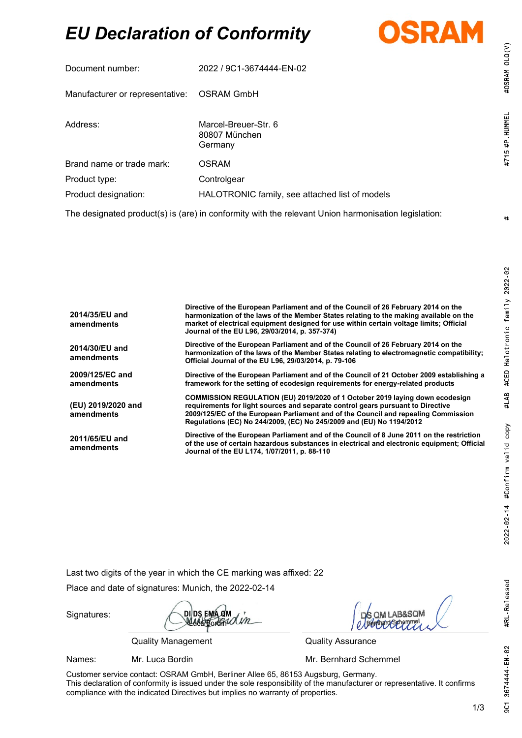# *EU Declaration of Conformity*



| Document number:                                                                                    | 2022 / 9C1-3674444-EN-02                         |  |
|-----------------------------------------------------------------------------------------------------|--------------------------------------------------|--|
| Manufacturer or representative:                                                                     | <b>OSRAM GmbH</b>                                |  |
| Address:                                                                                            | Marcel-Breuer-Str. 6<br>80807 München<br>Germany |  |
| Brand name or trade mark:                                                                           | <b>OSRAM</b>                                     |  |
| Product type:                                                                                       | Controlgear                                      |  |
| Product designation:                                                                                | HALOTRONIC family, see attached list of models   |  |
| The designated product(s) is (are) in conformity with the relevant Union harmonisation legislation: |                                                  |  |

| 2014/35/EU and<br>amendments     | Directive of the European Parliament and of the Council of 26 February 2014 on the<br>harmonization of the laws of the Member States relating to the making available on the<br>market of electrical equipment designed for use within certain voltage limits; Official<br>Journal of the EU L96, 29/03/2014, p. 357-374)     |
|----------------------------------|-------------------------------------------------------------------------------------------------------------------------------------------------------------------------------------------------------------------------------------------------------------------------------------------------------------------------------|
| 2014/30/EU and<br>amendments     | Directive of the European Parliament and of the Council of 26 February 2014 on the<br>harmonization of the laws of the Member States relating to electromagnetic compatibility;<br>Official Journal of the EU L96, 29/03/2014, p. 79-106                                                                                      |
| 2009/125/EC and<br>amendments    | Directive of the European Parliament and of the Council of 21 October 2009 establishing a<br>framework for the setting of ecodesign requirements for energy-related products                                                                                                                                                  |
| (EU) 2019/2020 and<br>amendments | COMMISSION REGULATION (EU) 2019/2020 of 1 October 2019 laying down ecodesign<br>requirements for light sources and separate control gears pursuant to Directive<br>2009/125/EC of the European Parliament and of the Council and repealing Commission<br>Regulations (EC) No 244/2009, (EC) No 245/2009 and (EU) No 1194/2012 |
| 2011/65/EU and<br>amendments     | Directive of the European Parliament and of the Council of 8 June 2011 on the restriction<br>of the use of certain hazardous substances in electrical and electronic equipment; Official<br>Journal of the EU L174, 1/07/2011, p. 88-110                                                                                      |

Last two digits of the year in which the CE marking was affixed: 22

Place and date of signatures: Munich, the 2022-02-14

Signatures:

**DI DS EMA QM** Luca Bordin

Quality Management Quality Assurance

 $RSCOM$ 

Names: Mr. Luca Bordin Mr. **Mr. Bernhard Schemmel** 

Customer service contact: OSRAM GmbH, Berliner Allee 65, 86153 Augsburg, Germany. This declaration of conformity is issued under the sole responsibility of the manufacturer or representative. It confirms compliance with the indicated Directives but implies no warranty of properties.

 $#$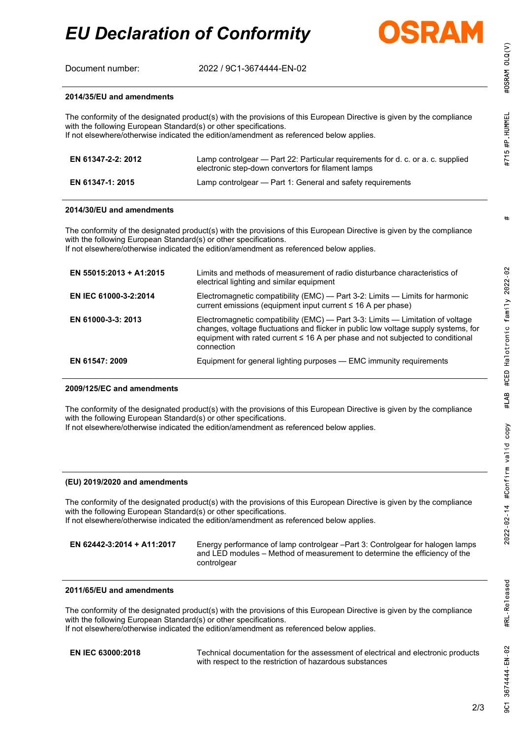Document number: 2022 / 9C1-3674444-EN-02

with the following European Standard(s) or other specifications.

with the following European Standard(s) or other specifications.

If not elsewhere/otherwise indicated the edition/amendment as referenced below applies.

**EN 61347-1: 2015** Lamp controlgear — Part 1: General and safety requirements



low voltage supply systems, for

#OSRAM OLQ(V) #715 #P HUMMEL

> $#$ #CED Halotronic family 2022-02

#LAB

2022-02-14 #Confirm valid copy

#RL Released

3674444 EN 02

9C1

| If not elsewhere/otherwise indicated the edition/amendment as referenced below applies. |                                                                                                                                                                                                                                                                      |
|-----------------------------------------------------------------------------------------|----------------------------------------------------------------------------------------------------------------------------------------------------------------------------------------------------------------------------------------------------------------------|
| EN 55015:2013 + A1:2015                                                                 | Limits and methods of measurement of radio disturbance characteristics of<br>electrical lighting and similar equipment                                                                                                                                               |
| EN IEC 61000-3-2:2014                                                                   | Electromagnetic compatibility (EMC) — Part 3-2: Limits — Limits for harmonic<br>current emissions (equipment input current $\leq$ 16 A per phase)                                                                                                                    |
| EN 61000-3-3: 2013                                                                      | Electromagnetic compatibility (EMC) — Part 3-3: Limits — Limitation of voltage<br>changes, voltage fluctuations and flicker in public low voltage supply systems, f<br>$\alpha$ outponent with rated ourrant $\leq$ 1.6 A par phase and not outported to conditional |

The conformity of the designated product(s) with the provisions of this European Directive is given by the compliance

**EN 61347-2-2: 2012** Lamp controlgear — Part 22: Particular requirements for d. c. or a. c. supplied

The conformity of the designated product(s) with the provisions of this European Directive is given by the compliance

electronic step-down convertors for filament lamps

equipment with rated current ≤ 16 A per phase and not subjected to conditional connection **EN 61547: 2009** Equipment for general lighting purposes — EMC immunity requirements

#### **2009/125/EC and amendments**

**2014/35/EU and amendments**

**2014/30/EU and amendments**

The conformity of the designated product(s) with the provisions of this European Directive is given by the compliance with the following European Standard(s) or other specifications.

If not elsewhere/otherwise indicated the edition/amendment as referenced below applies.

### **(EU) 2019/2020 and amendments**

The conformity of the designated product(s) with the provisions of this European Directive is given by the compliance with the following European Standard(s) or other specifications. If not elsewhere/otherwise indicated the edition/amendment as referenced below applies.

**EN 62442-3:2014 + A11:2017** Energy performance of lamp controlgear –Part 3: Controlgear for halogen lamps and LED modules – Method of measurement to determine the efficiency of the controlgear

#### **2011/65/EU and amendments**

The conformity of the designated product(s) with the provisions of this European Directive is given by the compliance with the following European Standard(s) or other specifications.

If not elsewhere/otherwise indicated the edition/amendment as referenced below applies.

**EN IEC 63000:2018** Technical documentation for the assessment of electrical and electronic products with respect to the restriction of hazardous substances